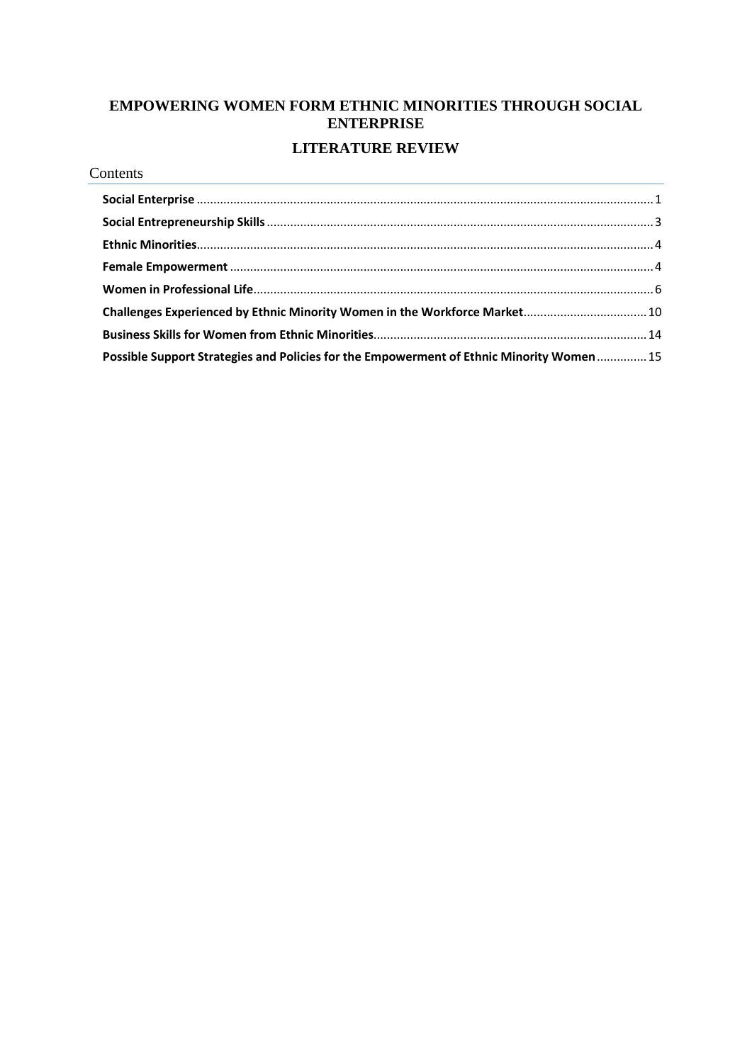## **EMPOWERING WOMEN FORM ETHNIC MINORITIES THROUGH SOCIAL ENTERPRISE LITERATURE REVIEW**

#### Contents

| Challenges Experienced by Ethnic Minority Women in the Workforce Market 10               |  |
|------------------------------------------------------------------------------------------|--|
|                                                                                          |  |
| Possible Support Strategies and Policies for the Empowerment of Ethnic Minority Women 15 |  |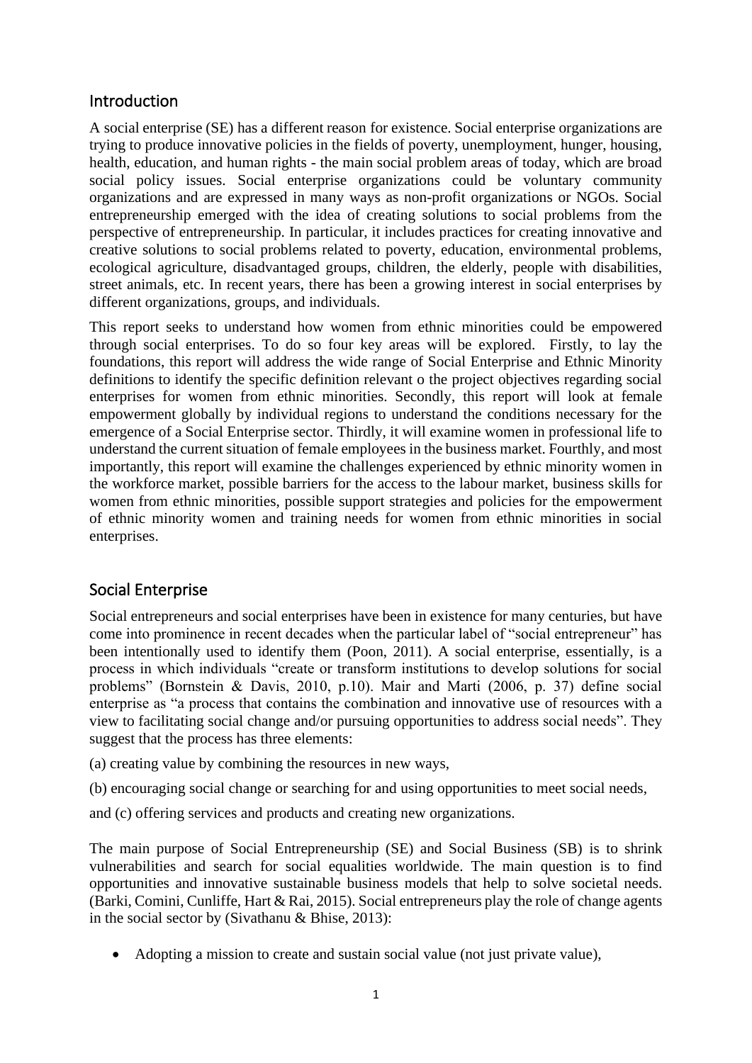## Introduction

A social enterprise (SE) has a different reason for existence. Social enterprise organizations are trying to produce innovative policies in the fields of poverty, unemployment, hunger, housing, health, education, and human rights - the main social problem areas of today, which are broad social policy issues. Social enterprise organizations could be voluntary community organizations and are expressed in many ways as non-profit organizations or NGOs. Social entrepreneurship emerged with the idea of creating solutions to social problems from the perspective of entrepreneurship. In particular, it includes practices for creating innovative and creative solutions to social problems related to poverty, education, environmental problems, ecological agriculture, disadvantaged groups, children, the elderly, people with disabilities, street animals, etc. In recent years, there has been a growing interest in social enterprises by different organizations, groups, and individuals.

This report seeks to understand how women from ethnic minorities could be empowered through social enterprises. To do so four key areas will be explored. Firstly, to lay the foundations, this report will address the wide range of Social Enterprise and Ethnic Minority definitions to identify the specific definition relevant o the project objectives regarding social enterprises for women from ethnic minorities. Secondly, this report will look at female empowerment globally by individual regions to understand the conditions necessary for the emergence of a Social Enterprise sector. Thirdly, it will examine women in professional life to understand the current situation of female employees in the business market. Fourthly, and most importantly, this report will examine the challenges experienced by ethnic minority women in the workforce market, possible barriers for the access to the labour market, business skills for women from ethnic minorities, possible support strategies and policies for the empowerment of ethnic minority women and training needs for women from ethnic minorities in social enterprises.

## <span id="page-1-0"></span>Social Enterprise

Social entrepreneurs and social enterprises have been in existence for many centuries, but have come into prominence in recent decades when the particular label of "social entrepreneur" has been intentionally used to identify them (Poon, 2011). A social enterprise, essentially, is a process in which individuals "create or transform institutions to develop solutions for social problems" (Bornstein & Davis, 2010, p.10). Mair and Marti (2006, p. 37) define social enterprise as "a process that contains the combination and innovative use of resources with a view to facilitating social change and/or pursuing opportunities to address social needs". They suggest that the process has three elements:

- (a) creating value by combining the resources in new ways,
- (b) encouraging social change or searching for and using opportunities to meet social needs,
- and (c) offering services and products and creating new organizations.

The main purpose of Social Entrepreneurship (SE) and Social Business (SB) is to shrink vulnerabilities and search for social equalities worldwide. The main question is to find opportunities and innovative sustainable business models that help to solve societal needs. (Barki, Comini, Cunliffe, Hart & Rai, 2015). Social entrepreneurs play the role of change agents in the social sector by (Sivathanu & Bhise, 2013):

• Adopting a mission to create and sustain social value (not just private value),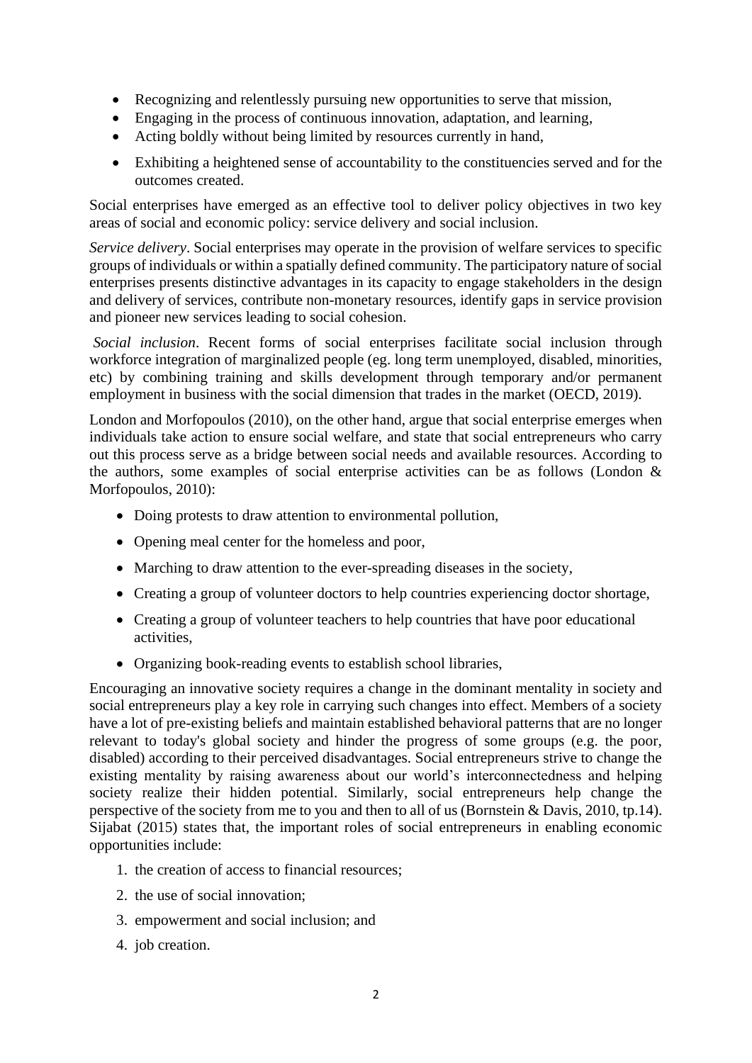- Recognizing and relentlessly pursuing new opportunities to serve that mission,
- Engaging in the process of continuous innovation, adaptation, and learning,
- Acting boldly without being limited by resources currently in hand,
- Exhibiting a heightened sense of accountability to the constituencies served and for the outcomes created.

Social enterprises have emerged as an effective tool to deliver policy objectives in two key areas of social and economic policy: service delivery and social inclusion.

*Service delivery*. Social enterprises may operate in the provision of welfare services to specific groups of individuals or within a spatially defined community. The participatory nature of social enterprises presents distinctive advantages in its capacity to engage stakeholders in the design and delivery of services, contribute non-monetary resources, identify gaps in service provision and pioneer new services leading to social cohesion.

*Social inclusion*. Recent forms of social enterprises facilitate social inclusion through workforce integration of marginalized people (eg. long term unemployed, disabled, minorities, etc) by combining training and skills development through temporary and/or permanent employment in business with the social dimension that trades in the market (OECD, 2019).

London and Morfopoulos (2010), on the other hand, argue that social enterprise emerges when individuals take action to ensure social welfare, and state that social entrepreneurs who carry out this process serve as a bridge between social needs and available resources. According to the authors, some examples of social enterprise activities can be as follows (London & Morfopoulos, 2010):

- Doing protests to draw attention to environmental pollution,
- Opening meal center for the homeless and poor,
- Marching to draw attention to the ever-spreading diseases in the society,
- Creating a group of volunteer doctors to help countries experiencing doctor shortage,
- Creating a group of volunteer teachers to help countries that have poor educational activities,
- Organizing book-reading events to establish school libraries,

Encouraging an innovative society requires a change in the dominant mentality in society and social entrepreneurs play a key role in carrying such changes into effect. Members of a society have a lot of pre-existing beliefs and maintain established behavioral patterns that are no longer relevant to today's global society and hinder the progress of some groups (e.g. the poor, disabled) according to their perceived disadvantages. Social entrepreneurs strive to change the existing mentality by raising awareness about our world's interconnectedness and helping society realize their hidden potential. Similarly, social entrepreneurs help change the perspective of the society from me to you and then to all of us (Bornstein & Davis, 2010, tp.14). Sijabat (2015) states that, the important roles of social entrepreneurs in enabling economic opportunities include:

- 1. the creation of access to financial resources;
- 2. the use of social innovation;
- 3. empowerment and social inclusion; and
- 4. job creation.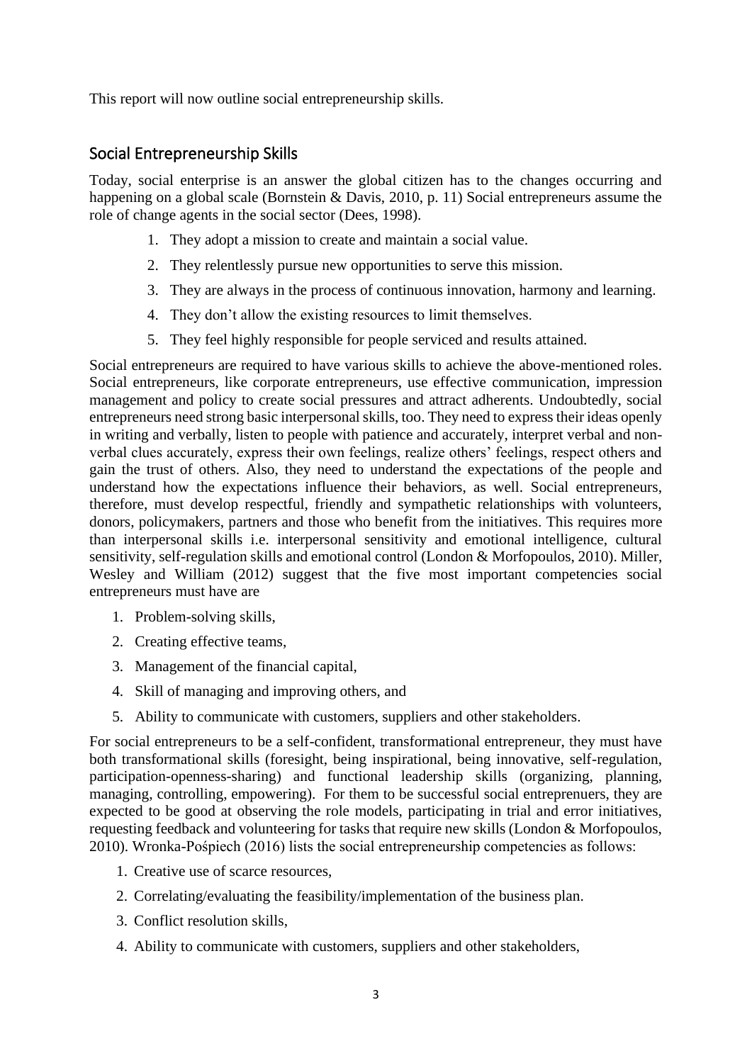This report will now outline social entrepreneurship skills.

## <span id="page-3-0"></span>Social Entrepreneurship Skills

Today, social enterprise is an answer the global citizen has to the changes occurring and happening on a global scale (Bornstein & Davis, 2010, p. 11) Social entrepreneurs assume the role of change agents in the social sector (Dees, 1998).

- 1. They adopt a mission to create and maintain a social value.
- 2. They relentlessly pursue new opportunities to serve this mission.
- 3. They are always in the process of continuous innovation, harmony and learning.
- 4. They don't allow the existing resources to limit themselves.
- 5. They feel highly responsible for people serviced and results attained.

Social entrepreneurs are required to have various skills to achieve the above-mentioned roles. Social entrepreneurs, like corporate entrepreneurs, use effective communication, impression management and policy to create social pressures and attract adherents. Undoubtedly, social entrepreneurs need strong basic interpersonal skills, too. They need to express their ideas openly in writing and verbally, listen to people with patience and accurately, interpret verbal and nonverbal clues accurately, express their own feelings, realize others' feelings, respect others and gain the trust of others. Also, they need to understand the expectations of the people and understand how the expectations influence their behaviors, as well. Social entrepreneurs, therefore, must develop respectful, friendly and sympathetic relationships with volunteers, donors, policymakers, partners and those who benefit from the initiatives. This requires more than interpersonal skills i.e. interpersonal sensitivity and emotional intelligence, cultural sensitivity, self-regulation skills and emotional control (London & Morfopoulos, 2010). Miller, Wesley and William (2012) suggest that the five most important competencies social entrepreneurs must have are

- 1. Problem-solving skills,
- 2. Creating effective teams,
- 3. Management of the financial capital,
- 4. Skill of managing and improving others, and
- 5. Ability to communicate with customers, suppliers and other stakeholders.

For social entrepreneurs to be a self-confident, transformational entrepreneur, they must have both transformational skills (foresight, being inspirational, being innovative, self-regulation, participation-openness-sharing) and functional leadership skills (organizing, planning, managing, controlling, empowering). For them to be successful social entreprenuers, they are expected to be good at observing the role models, participating in trial and error initiatives, requesting feedback and volunteering for tasks that require new skills (London & Morfopoulos, 2010). Wronka-Pośpiech (2016) lists the social entrepreneurship competencies as follows:

- 1. Creative use of scarce resources,
- 2. Correlating/evaluating the feasibility/implementation of the business plan.
- 3. Conflict resolution skills,
- 4. Ability to communicate with customers, suppliers and other stakeholders,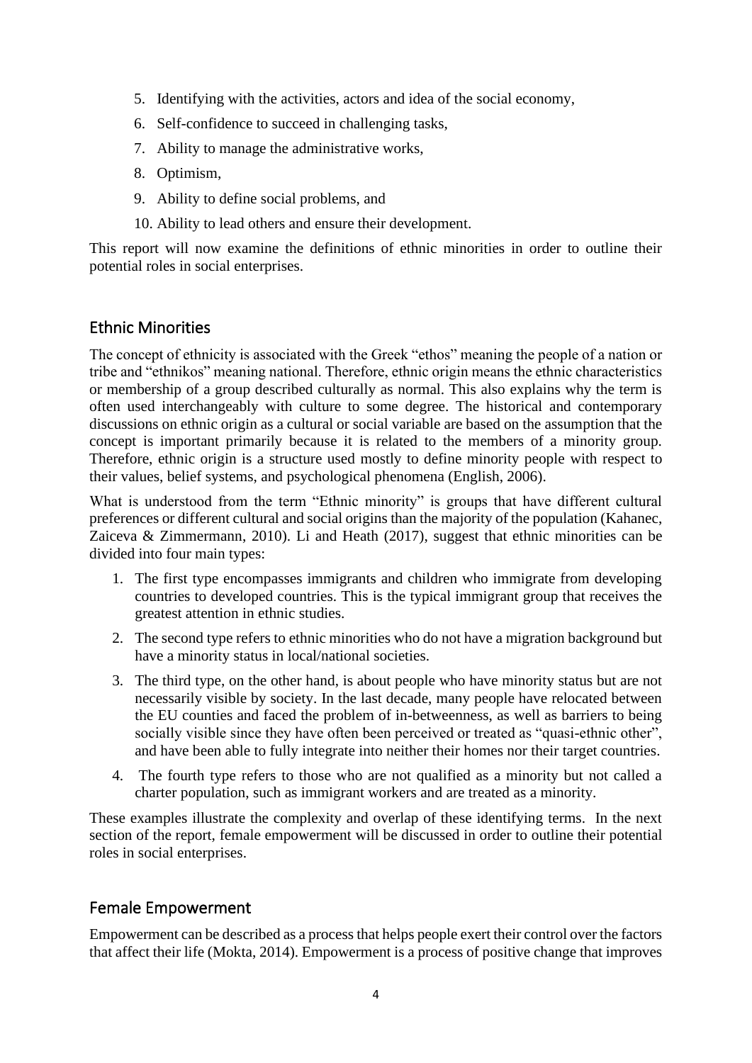- 5. Identifying with the activities, actors and idea of the social economy,
- 6. Self-confidence to succeed in challenging tasks,
- 7. Ability to manage the administrative works,
- 8. Optimism,
- 9. Ability to define social problems, and
- 10. Ability to lead others and ensure their development.

This report will now examine the definitions of ethnic minorities in order to outline their potential roles in social enterprises.

## <span id="page-4-0"></span>Ethnic Minorities

The concept of ethnicity is associated with the Greek "ethos" meaning the people of a nation or tribe and "ethnikos" meaning national. Therefore, ethnic origin means the ethnic characteristics or membership of a group described culturally as normal. This also explains why the term is often used interchangeably with culture to some degree. The historical and contemporary discussions on ethnic origin as a cultural or social variable are based on the assumption that the concept is important primarily because it is related to the members of a minority group. Therefore, ethnic origin is a structure used mostly to define minority people with respect to their values, belief systems, and psychological phenomena (English, 2006).

What is understood from the term "Ethnic minority" is groups that have different cultural preferences or different cultural and social origins than the majority of the population (Kahanec, Zaiceva & Zimmermann, 2010). Li and Heath (2017), suggest that ethnic minorities can be divided into four main types:

- 1. The first type encompasses immigrants and children who immigrate from developing countries to developed countries. This is the typical immigrant group that receives the greatest attention in ethnic studies.
- 2. The second type refers to ethnic minorities who do not have a migration background but have a minority status in local/national societies.
- 3. The third type, on the other hand, is about people who have minority status but are not necessarily visible by society. In the last decade, many people have relocated between the EU counties and faced the problem of in-betweenness, as well as barriers to being socially visible since they have often been perceived or treated as "quasi-ethnic other", and have been able to fully integrate into neither their homes nor their target countries.
- 4. The fourth type refers to those who are not qualified as a minority but not called a charter population, such as immigrant workers and are treated as a minority.

These examples illustrate the complexity and overlap of these identifying terms. In the next section of the report, female empowerment will be discussed in order to outline their potential roles in social enterprises.

## <span id="page-4-1"></span>Female Empowerment

Empowerment can be described as a process that helps people exert their control over the factors that affect their life (Mokta, 2014). Empowerment is a process of positive change that improves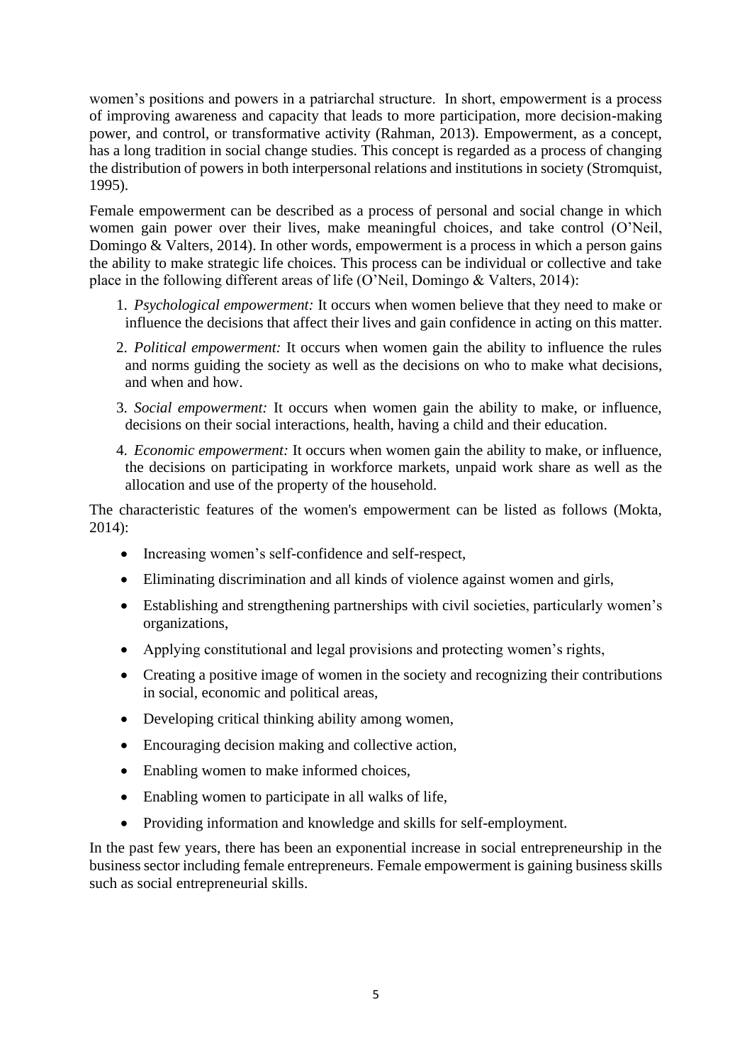women's positions and powers in a patriarchal structure. In short, empowerment is a process of improving awareness and capacity that leads to more participation, more decision-making power, and control, or transformative activity (Rahman, 2013). Empowerment, as a concept, has a long tradition in social change studies. This concept is regarded as a process of changing the distribution of powers in both interpersonal relations and institutions in society (Stromquist, 1995).

Female empowerment can be described as a process of personal and social change in which women gain power over their lives, make meaningful choices, and take control (O'Neil, Domingo & Valters, 2014). In other words, empowerment is a process in which a person gains the ability to make strategic life choices. This process can be individual or collective and take place in the following different areas of life (O'Neil, Domingo & Valters, 2014):

- 1. *Psychological empowerment:* It occurs when women believe that they need to make or influence the decisions that affect their lives and gain confidence in acting on this matter.
- 2. *Political empowerment:* It occurs when women gain the ability to influence the rules and norms guiding the society as well as the decisions on who to make what decisions, and when and how.
- 3. *Social empowerment:* It occurs when women gain the ability to make, or influence, decisions on their social interactions, health, having a child and their education.
- 4. *Economic empowerment:* It occurs when women gain the ability to make, or influence, the decisions on participating in workforce markets, unpaid work share as well as the allocation and use of the property of the household.

The characteristic features of the women's empowerment can be listed as follows (Mokta, 2014):

- Increasing women's self-confidence and self-respect,
- Eliminating discrimination and all kinds of violence against women and girls,
- Establishing and strengthening partnerships with civil societies, particularly women's organizations,
- Applying constitutional and legal provisions and protecting women's rights,
- Creating a positive image of women in the society and recognizing their contributions in social, economic and political areas,
- Developing critical thinking ability among women,
- Encouraging decision making and collective action,
- Enabling women to make informed choices,
- Enabling women to participate in all walks of life.
- Providing information and knowledge and skills for self-employment.

In the past few years, there has been an exponential increase in social entrepreneurship in the business sector including female entrepreneurs. Female empowerment is gaining business skills such as social entrepreneurial skills.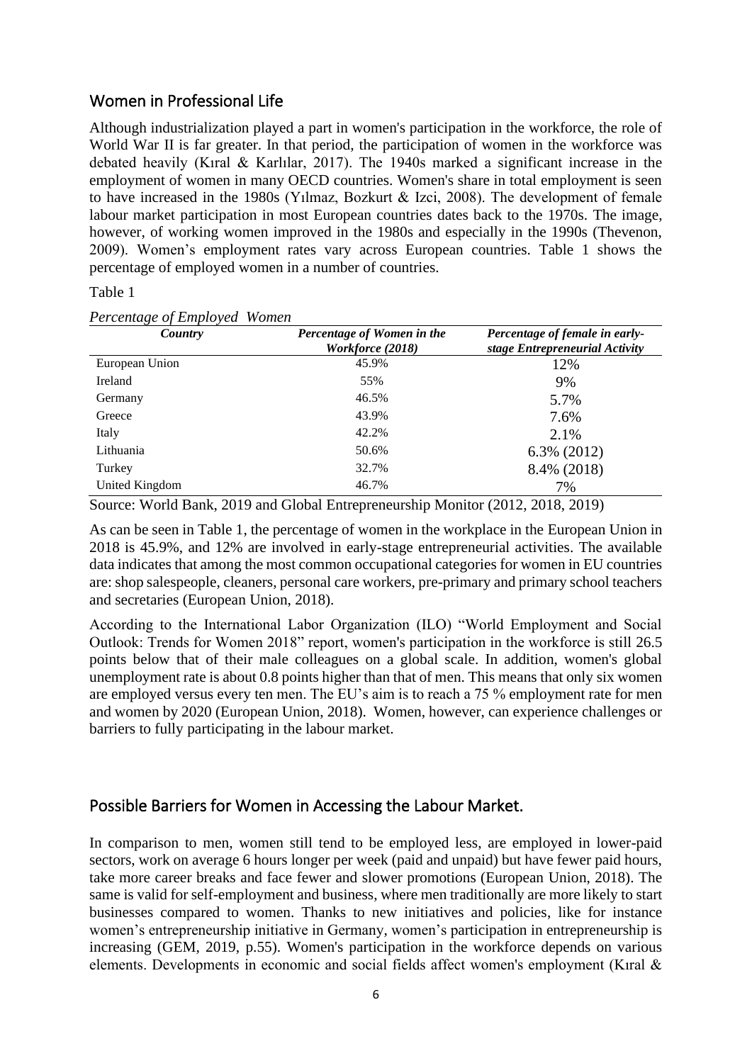## <span id="page-6-0"></span>Women in Professional Life

Although industrialization played a part in women's participation in the workforce, the role of World War II is far greater. In that period, the participation of women in the workforce was debated heavily (Kıral & Karlılar, 2017). The 1940s marked a significant increase in the employment of women in many OECD countries. Women's share in total employment is seen to have increased in the 1980s (Yılmaz, Bozkurt & Izci, 2008). The development of female labour market participation in most European countries dates back to the 1970s. The image, however, of working women improved in the 1980s and especially in the 1990s (Thevenon, 2009). Women's employment rates vary across European countries. Table 1 shows the percentage of employed women in a number of countries.

Table 1

| Country        | Percentage of Women in the<br>Workforce (2018) | Percentage of female in early-<br>stage Entrepreneurial Activity |
|----------------|------------------------------------------------|------------------------------------------------------------------|
| European Union | 45.9%                                          | 12%                                                              |
| Ireland        | 55%                                            | 9%                                                               |
| Germany        | 46.5%                                          | 5.7%                                                             |
| Greece         | 43.9%                                          | 7.6%                                                             |
| Italy          | 42.2%                                          | 2.1%                                                             |
| Lithuania      | 50.6%                                          | 6.3% (2012)                                                      |
| Turkey         | 32.7%                                          | 8.4% (2018)                                                      |
| United Kingdom | 46.7%                                          | 7%                                                               |

*Percentage of Employed Women*

Source: World Bank, 2019 and Global Entrepreneurship Monitor (2012, 2018, 2019)

As can be seen in Table 1, the percentage of women in the workplace in the European Union in 2018 is 45.9%, and 12% are involved in early-stage entrepreneurial activities. The available data indicates that among the most common occupational categories for women in EU countries are: shop salespeople, cleaners, personal care workers, pre-primary and primary school teachers and secretaries (European Union, 2018).

According to the International Labor Organization (ILO) "World Employment and Social Outlook: Trends for Women 2018" report, women's participation in the workforce is still 26.5 points below that of their male colleagues on a global scale. In addition, women's global unemployment rate is about 0.8 points higher than that of men. This means that only six women are employed versus every ten men. The EU's aim is to reach a 75 % employment rate for men and women by 2020 (European Union, 2018). Women, however, can experience challenges or barriers to fully participating in the labour market.

## Possible Barriers for Women in Accessing the Labour Market.

In comparison to men, women still tend to be employed less, are employed in lower-paid sectors, work on average 6 hours longer per week (paid and unpaid) but have fewer paid hours, take more career breaks and face fewer and slower promotions (European Union, 2018). The same is valid for self-employment and business, where men traditionally are more likely to start businesses compared to women. Thanks to new initiatives and policies, like for instance women's entrepreneurship initiative in Germany, women's participation in entrepreneurship is increasing (GEM, 2019, p.55). Women's participation in the workforce depends on various elements. Developments in economic and social fields affect women's employment (Kıral &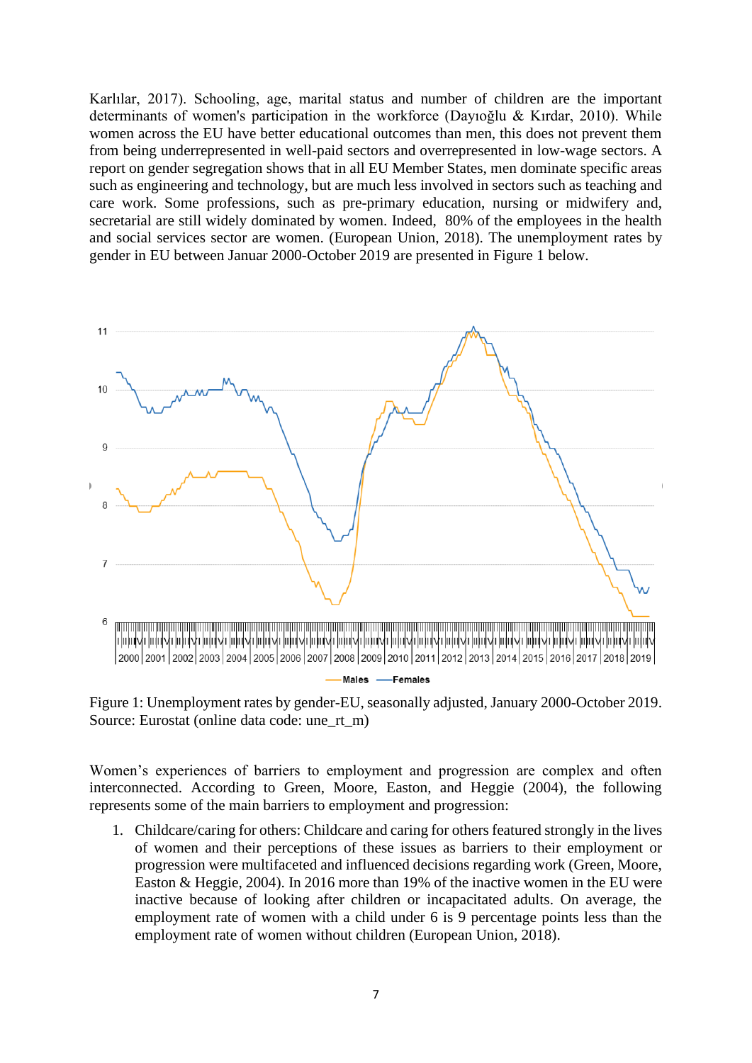Karlılar, 2017). Schooling, age, marital status and number of children are the important determinants of women's participation in the workforce (Dayıoğlu & Kırdar, 2010). While women across the EU have better educational outcomes than men, this does not prevent them from being underrepresented in well-paid sectors and overrepresented in low-wage sectors. A report on gender segregation shows that in all EU Member States, men dominate specific areas such as engineering and technology, but are much less involved in sectors such as teaching and care work. Some professions, such as pre-primary education, nursing or midwifery and, secretarial are still widely dominated by women. Indeed, 80% of the employees in the health and social services sector are women. (European Union, 2018). The unemployment rates by gender in EU between Januar 2000-October 2019 are presented in Figure 1 below.



Figure 1: Unemployment rates by gender-EU, seasonally adjusted, January 2000-October 2019. Source: Eurostat (online data code: une\_rt\_m)

Women's experiences of barriers to employment and progression are complex and often interconnected. According to Green, Moore, Easton, and Heggie (2004), the following represents some of the main barriers to employment and progression:

1. Childcare/caring for others: Childcare and caring for others featured strongly in the lives of women and their perceptions of these issues as barriers to their employment or progression were multifaceted and influenced decisions regarding work (Green, Moore, Easton & Heggie, 2004). In 2016 more than 19% of the inactive women in the EU were inactive because of looking after children or incapacitated adults. On average, the employment rate of women with a child under 6 is 9 percentage points less than the employment rate of women without children (European Union, 2018).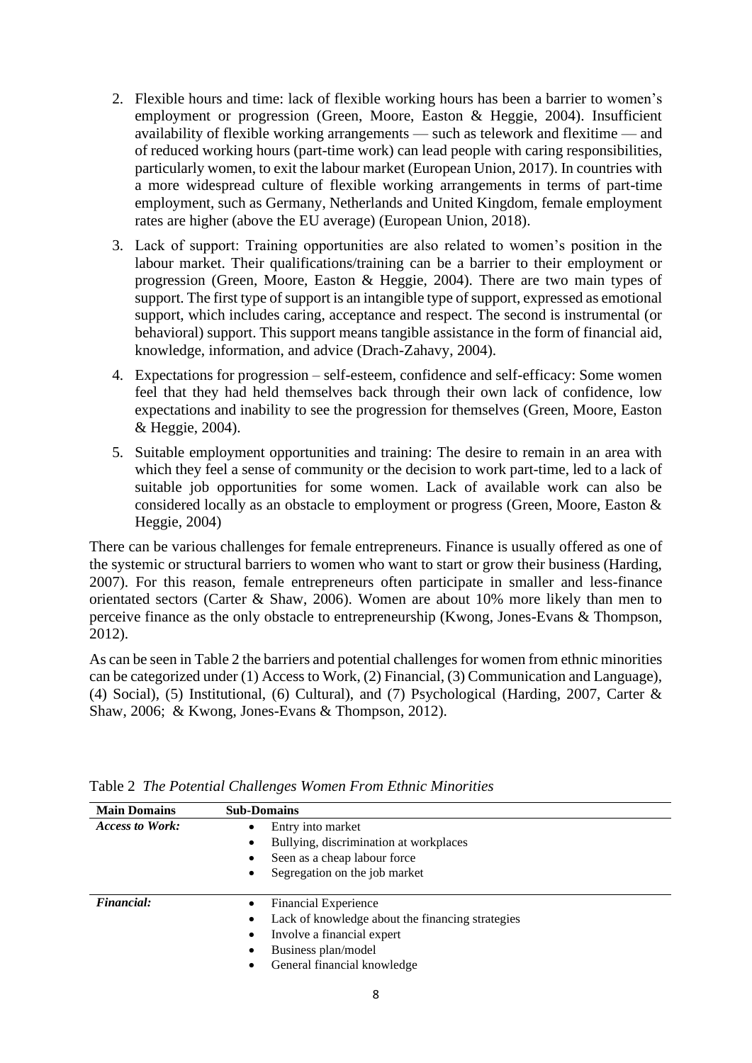- 2. Flexible hours and time: lack of flexible working hours has been a barrier to women's employment or progression (Green, Moore, Easton & Heggie, 2004). Insufficient availability of flexible working arrangements — such as telework and flexitime — and of reduced working hours (part-time work) can lead people with caring responsibilities, particularly women, to exit the labour market (European Union, 2017). In countries with a more widespread culture of flexible working arrangements in terms of part-time employment, such as Germany, Netherlands and United Kingdom, female employment rates are higher (above the EU average) (European Union, 2018).
- 3. Lack of support: Training opportunities are also related to women's position in the labour market. Their qualifications/training can be a barrier to their employment or progression (Green, Moore, Easton & Heggie, 2004). There are two main types of support. The first type of support is an intangible type of support, expressed as emotional support, which includes caring, acceptance and respect. The second is instrumental (or behavioral) support. This support means tangible assistance in the form of financial aid, knowledge, information, and advice (Drach-Zahavy, 2004).
- 4. Expectations for progression self-esteem, confidence and self-efficacy: Some women feel that they had held themselves back through their own lack of confidence, low expectations and inability to see the progression for themselves (Green, Moore, Easton & Heggie, 2004).
- 5. Suitable employment opportunities and training: The desire to remain in an area with which they feel a sense of community or the decision to work part-time, led to a lack of suitable job opportunities for some women. Lack of available work can also be considered locally as an obstacle to employment or progress (Green, Moore, Easton & Heggie, 2004)

There can be various challenges for female entrepreneurs. Finance is usually offered as one of the systemic or structural barriers to women who want to start or grow their business (Harding, 2007). For this reason, female entrepreneurs often participate in smaller and less-finance orientated sectors (Carter & Shaw, 2006). Women are about 10% more likely than men to perceive finance as the only obstacle to entrepreneurship (Kwong, Jones-Evans & Thompson, 2012).

As can be seen in Table 2 the barriers and potential challenges for women from ethnic minorities can be categorized under (1) Access to Work, (2) Financial, (3) Communication and Language), (4) Social), (5) Institutional, (6) Cultural), and (7) Psychological (Harding, 2007, Carter & Shaw, 2006; & Kwong, Jones-Evans & Thompson, 2012).

| <b>Main Domains</b>    | <b>Sub-Domains</b>                                    |
|------------------------|-------------------------------------------------------|
| <b>Access to Work:</b> | Entry into market<br>$\bullet$                        |
|                        | Bullying, discrimination at workplaces<br>٠           |
|                        | Seen as a cheap labour force                          |
|                        | Segregation on the job market<br>٠                    |
|                        |                                                       |
| <b>Financial:</b>      | <b>Financial Experience</b>                           |
|                        | Lack of knowledge about the financing strategies<br>٠ |
|                        | Involve a financial expert<br>٠                       |
|                        | Business plan/model<br>٠                              |
|                        | General financial knowledge                           |

Table 2 *The Potential Challenges Women From Ethnic Minorities*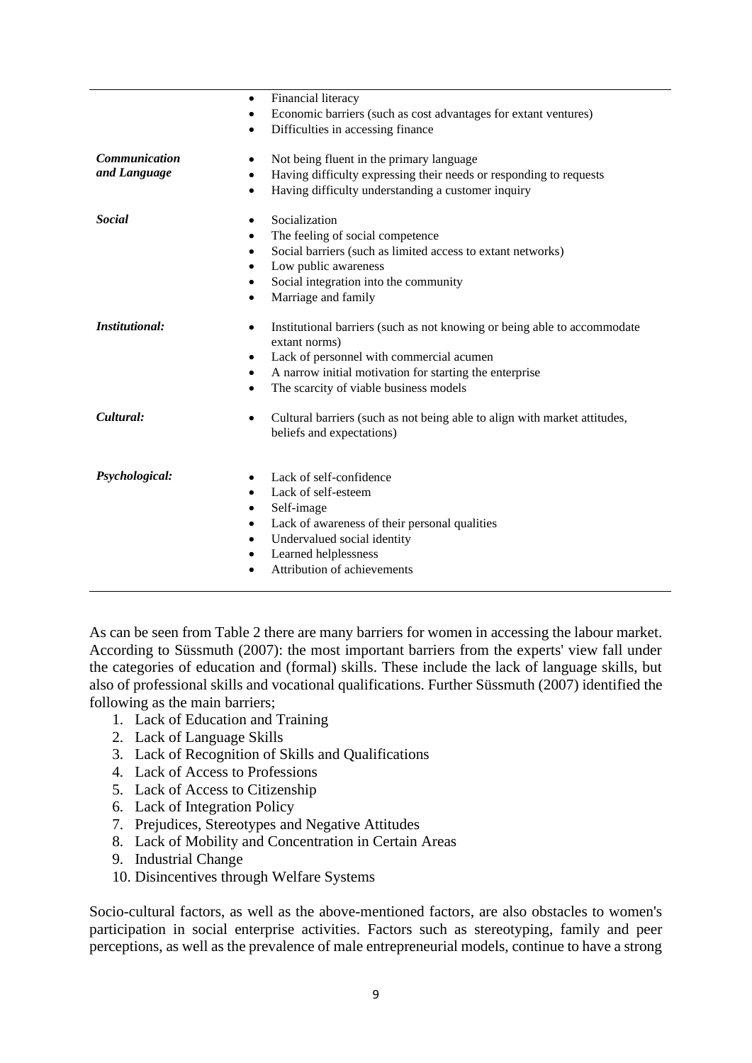| $\bullet$                         | Financial literacy                                                                                     |
|-----------------------------------|--------------------------------------------------------------------------------------------------------|
| $\bullet$                         | Economic barriers (such as cost advantages for extant ventures)                                        |
| $\bullet$                         | Difficulties in accessing finance                                                                      |
| <b>Communication</b><br>$\bullet$ | Not being fluent in the primary language                                                               |
| and Language<br>$\bullet$         | Having difficulty expressing their needs or responding to requests                                     |
| $\bullet$                         | Having difficulty understanding a customer inquiry                                                     |
| <b>Social</b><br>٠                | Socialization                                                                                          |
| $\bullet$                         | The feeling of social competence                                                                       |
| $\bullet$                         | Social barriers (such as limited access to extant networks)                                            |
|                                   | Low public awareness                                                                                   |
|                                   | Social integration into the community                                                                  |
| $\bullet$                         | Marriage and family                                                                                    |
|                                   |                                                                                                        |
| <i>Institutional:</i><br>٠        | Institutional barriers (such as not knowing or being able to accommodate<br>extant norms)              |
| $\bullet$                         | Lack of personnel with commercial acumen                                                               |
| $\bullet$                         | A narrow initial motivation for starting the enterprise                                                |
| $\bullet$                         | The scarcity of viable business models                                                                 |
|                                   |                                                                                                        |
| Cultural:<br>$\bullet$            | Cultural barriers (such as not being able to align with market attitudes,<br>beliefs and expectations) |
|                                   |                                                                                                        |
| Psychological:<br>$\bullet$       | Lack of self-confidence                                                                                |
| $\bullet$                         | Lack of self-esteem                                                                                    |
| ٠                                 | Self-image                                                                                             |
| $\bullet$                         | Lack of awareness of their personal qualities                                                          |
| $\bullet$                         | Undervalued social identity                                                                            |
| $\bullet$                         | Learned helplessness                                                                                   |
| $\bullet$                         | Attribution of achievements                                                                            |
|                                   |                                                                                                        |

As can be seen from Table 2 there are many barriers for women in accessing the labour market. According to Süssmuth (2007): the most important barriers from the experts' view fall under the categories of education and (formal) skills. These include the lack of language skills, but also of professional skills and vocational qualifications. Further Süssmuth (2007) identified the following as the main barriers;

- 1. Lack of Education and Training
- 2. Lack of Language Skills
- 3. Lack of Recognition of Skills and Qualifications
- 4. Lack of Access to Professions
- 5. Lack of Access to Citizenship
- 6. Lack of Integration Policy
- 7. Prejudices, Stereotypes and Negative Attitudes
- 8. Lack of Mobility and Concentration in Certain Areas
- 9. Industrial Change
- 10. Disincentives through Welfare Systems

Socio-cultural factors, as well as the above-mentioned factors, are also obstacles to women's participation in social enterprise activities. Factors such as stereotyping, family and peer perceptions, as well as the prevalence of male entrepreneurial models, continue to have a strong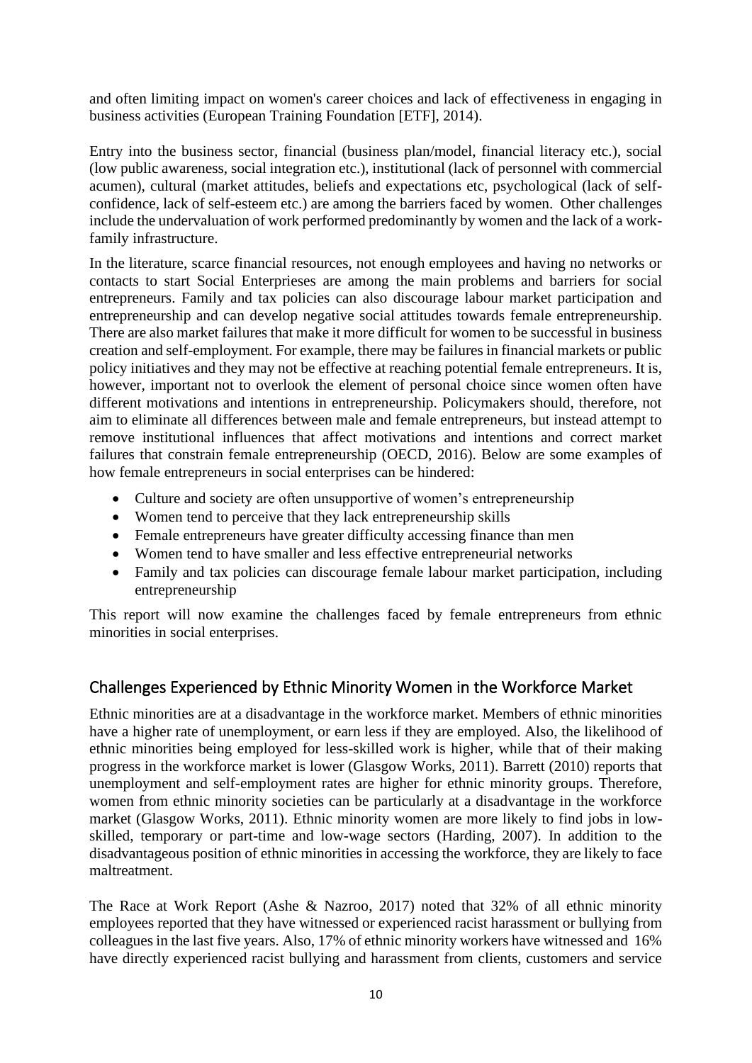and often limiting impact on women's career choices and lack of effectiveness in engaging in business activities (European Training Foundation [ETF], 2014).

Entry into the business sector, financial (business plan/model, financial literacy etc.), social (low public awareness, social integration etc.), institutional (lack of personnel with commercial acumen), cultural (market attitudes, beliefs and expectations etc, psychological (lack of selfconfidence, lack of self-esteem etc.) are among the barriers faced by women. Other challenges include the undervaluation of work performed predominantly by women and the lack of a workfamily infrastructure.

In the literature, scarce financial resources, not enough employees and having no networks or contacts to start Social Enterprieses are among the main problems and barriers for social entrepreneurs. Family and tax policies can also discourage labour market participation and entrepreneurship and can develop negative social attitudes towards female entrepreneurship. There are also market failures that make it more difficult for women to be successful in business creation and self-employment. For example, there may be failures in financial markets or public policy initiatives and they may not be effective at reaching potential female entrepreneurs. It is, however, important not to overlook the element of personal choice since women often have different motivations and intentions in entrepreneurship. Policymakers should, therefore, not aim to eliminate all differences between male and female entrepreneurs, but instead attempt to remove institutional influences that affect motivations and intentions and correct market failures that constrain female entrepreneurship (OECD, 2016). Below are some examples of how female entrepreneurs in social enterprises can be hindered:

- Culture and society are often unsupportive of women's entrepreneurship
- Women tend to perceive that they lack entrepreneurship skills
- Female entrepreneurs have greater difficulty accessing finance than men
- Women tend to have smaller and less effective entrepreneurial networks
- Family and tax policies can discourage female labour market participation, including entrepreneurship

This report will now examine the challenges faced by female entrepreneurs from ethnic minorities in social enterprises.

## <span id="page-10-0"></span>Challenges Experienced by Ethnic Minority Women in the Workforce Market

Ethnic minorities are at a disadvantage in the workforce market. Members of ethnic minorities have a higher rate of unemployment, or earn less if they are employed. Also, the likelihood of ethnic minorities being employed for less-skilled work is higher, while that of their making progress in the workforce market is lower (Glasgow Works, 2011). Barrett (2010) reports that unemployment and self-employment rates are higher for ethnic minority groups. Therefore, women from ethnic minority societies can be particularly at a disadvantage in the workforce market (Glasgow Works, 2011). Ethnic minority women are more likely to find jobs in lowskilled, temporary or part-time and low-wage sectors (Harding, 2007). In addition to the disadvantageous position of ethnic minorities in accessing the workforce, they are likely to face maltreatment.

The Race at Work Report (Ashe & Nazroo, 2017) noted that 32% of all ethnic minority employees reported that they have witnessed or experienced racist harassment or bullying from colleagues in the last five years. Also, 17% of ethnic minority workers have witnessed and 16% have directly experienced racist bullying and harassment from clients, customers and service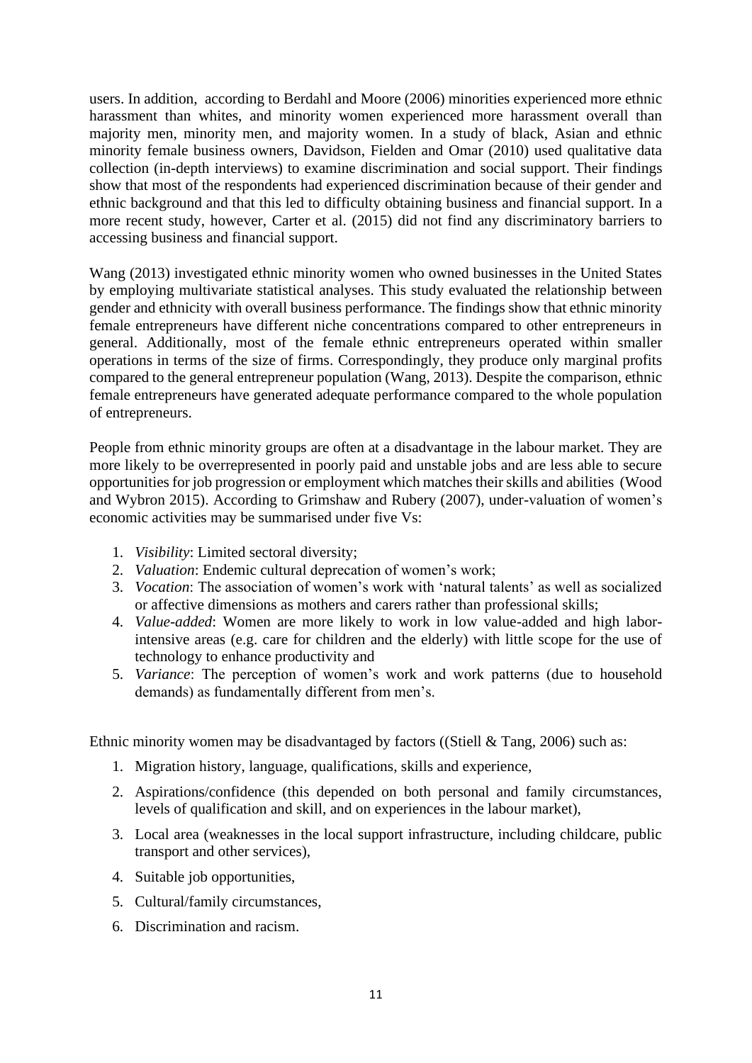users. In addition, according to Berdahl and Moore (2006) minorities experienced more ethnic harassment than whites, and minority women experienced more harassment overall than majority men, minority men, and majority women. In a study of black, Asian and ethnic minority female business owners, Davidson, Fielden and Omar (2010) used qualitative data collection (in-depth interviews) to examine discrimination and social support. Their findings show that most of the respondents had experienced discrimination because of their gender and ethnic background and that this led to difficulty obtaining business and financial support. In a more recent study, however, Carter et al. (2015) did not find any discriminatory barriers to accessing business and financial support.

Wang (2013) investigated ethnic minority women who owned businesses in the United States by employing multivariate statistical analyses. This study evaluated the relationship between gender and ethnicity with overall business performance. The findings show that ethnic minority female entrepreneurs have different niche concentrations compared to other entrepreneurs in general. Additionally, most of the female ethnic entrepreneurs operated within smaller operations in terms of the size of firms. Correspondingly, they produce only marginal profits compared to the general entrepreneur population (Wang, 2013). Despite the comparison, ethnic female entrepreneurs have generated adequate performance compared to the whole population of entrepreneurs.

People from ethnic minority groups are often at a disadvantage in the labour market. They are more likely to be overrepresented in poorly paid and unstable jobs and are less able to secure opportunities for job progression or employment which matches their skills and abilities (Wood and Wybron 2015). According to Grimshaw and Rubery (2007), under-valuation of women's economic activities may be summarised under five Vs:

- 1. *Visibility*: Limited sectoral diversity;
- 2. *Valuation*: Endemic cultural deprecation of women's work;
- 3. *Vocation*: The association of women's work with 'natural talents' as well as socialized or affective dimensions as mothers and carers rather than professional skills;
- 4. *Value-added*: Women are more likely to work in low value-added and high laborintensive areas (e.g. care for children and the elderly) with little scope for the use of technology to enhance productivity and
- 5. *Variance*: The perception of women's work and work patterns (due to household demands) as fundamentally different from men's.

Ethnic minority women may be disadvantaged by factors ((Stiell & Tang, 2006) such as:

- 1. Migration history, language, qualifications, skills and experience,
- 2. Aspirations/confidence (this depended on both personal and family circumstances, levels of qualification and skill, and on experiences in the labour market),
- 3. Local area (weaknesses in the local support infrastructure, including childcare, public transport and other services),
- 4. Suitable job opportunities,
- 5. Cultural/family circumstances,
- 6. Discrimination and racism.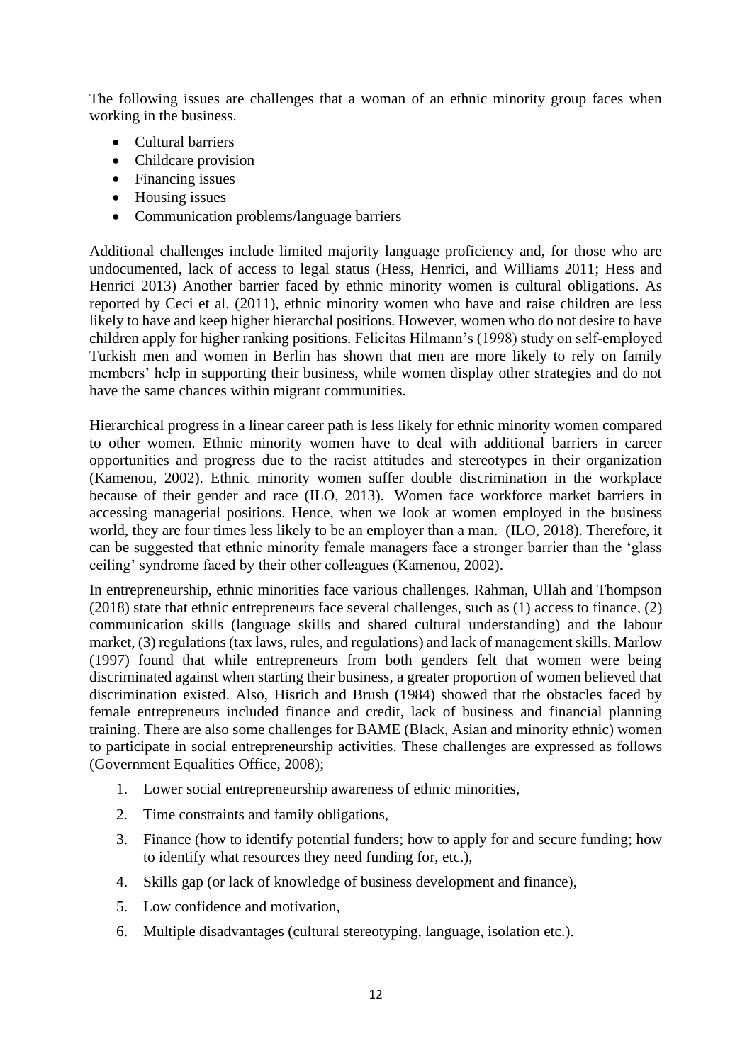The following issues are challenges that a woman of an ethnic minority group faces when working in the business.

- Cultural barriers
- Childcare provision
- Financing issues
- Housing issues
- Communication problems/language barriers

Additional challenges include limited majority language proficiency and, for those who are undocumented, lack of access to legal status (Hess, Henrici, and Williams 2011; Hess and Henrici 2013) Another barrier faced by ethnic minority women is cultural obligations. As reported by Ceci et al. (2011), ethnic minority women who have and raise children are less likely to have and keep higher hierarchal positions. However, women who do not desire to have children apply for higher ranking positions. Felicitas Hilmann's (1998) study on self-employed Turkish men and women in Berlin has shown that men are more likely to rely on family members' help in supporting their business, while women display other strategies and do not have the same chances within migrant communities.

Hierarchical progress in a linear career path is less likely for ethnic minority women compared to other women. Ethnic minority women have to deal with additional barriers in career opportunities and progress due to the racist attitudes and stereotypes in their organization (Kamenou, 2002). Ethnic minority women suffer double discrimination in the workplace because of their gender and race (ILO, 2013). Women face workforce market barriers in accessing managerial positions. Hence, when we look at women employed in the business world, they are four times less likely to be an employer than a man. (ILO, 2018). Therefore, it can be suggested that ethnic minority female managers face a stronger barrier than the 'glass ceiling' syndrome faced by their other colleagues (Kamenou, 2002).

In entrepreneurship, ethnic minorities face various challenges. Rahman, Ullah and Thompson (2018) state that ethnic entrepreneurs face several challenges, such as (1) access to finance, (2) communication skills (language skills and shared cultural understanding) and the labour market, (3) regulations (tax laws, rules, and regulations) and lack of management skills. Marlow (1997) found that while entrepreneurs from both genders felt that women were being discriminated against when starting their business, a greater proportion of women believed that discrimination existed. Also, Hisrich and Brush (1984) showed that the obstacles faced by female entrepreneurs included finance and credit, lack of business and financial planning training. There are also some challenges for BAME (Black, Asian and minority ethnic) women to participate in social entrepreneurship activities. These challenges are expressed as follows (Government Equalities Office, 2008);

- 1. Lower social entrepreneurship awareness of ethnic minorities,
- 2. Time constraints and family obligations,
- 3. Finance (how to identify potential funders; how to apply for and secure funding; how to identify what resources they need funding for, etc.),
- 4. Skills gap (or lack of knowledge of business development and finance),
- 5. Low confidence and motivation,
- 6. Multiple disadvantages (cultural stereotyping, language, isolation etc.).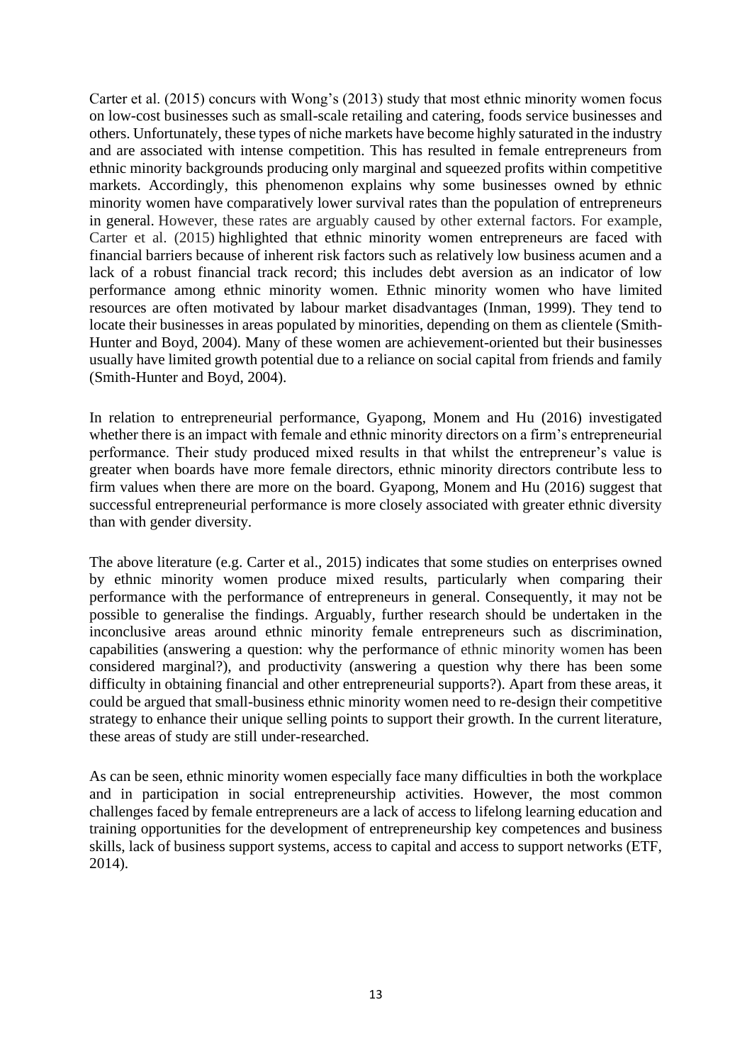Carter et al. (2015) concurs with Wong's (2013) study that most ethnic minority women focus on low-cost businesses such as small-scale retailing and catering, foods service businesses and others. Unfortunately, these types of niche markets have become highly saturated in the industry and are associated with intense competition. This has resulted in female entrepreneurs from ethnic minority backgrounds producing only marginal and squeezed profits within competitive markets. Accordingly, this phenomenon explains why some businesses owned by ethnic minority women have comparatively lower survival rates than the population of entrepreneurs in general. However, these rates are arguably caused by other external factors. For example, Carter et al. (2015) highlighted that ethnic minority women entrepreneurs are faced with financial barriers because of inherent risk factors such as relatively low business acumen and a lack of a robust financial track record; this includes debt aversion as an indicator of low performance among ethnic minority women. Ethnic minority women who have limited resources are often motivated by labour market disadvantages (Inman, 1999). They tend to locate their businesses in areas populated by minorities, depending on them as clientele (Smith-Hunter and Boyd, 2004). Many of these women are achievement-oriented but their businesses usually have limited growth potential due to a reliance on social capital from friends and family (Smith-Hunter and Boyd, 2004).

In relation to entrepreneurial performance, Gyapong, Monem and Hu (2016) investigated whether there is an impact with female and ethnic minority directors on a firm's entrepreneurial performance. Their study produced mixed results in that whilst the entrepreneur's value is greater when boards have more female directors, ethnic minority directors contribute less to firm values when there are more on the board. Gyapong, Monem and Hu (2016) suggest that successful entrepreneurial performance is more closely associated with greater ethnic diversity than with gender diversity.

The above literature (e.g. Carter et al., 2015) indicates that some studies on enterprises owned by ethnic minority women produce mixed results, particularly when comparing their performance with the performance of entrepreneurs in general. Consequently, it may not be possible to generalise the findings. Arguably, further research should be undertaken in the inconclusive areas around ethnic minority female entrepreneurs such as discrimination, capabilities (answering a question: why the performance of ethnic minority women has been considered marginal?), and productivity (answering a question why there has been some difficulty in obtaining financial and other entrepreneurial supports?). Apart from these areas, it could be argued that small-business ethnic minority women need to re-design their competitive strategy to enhance their unique selling points to support their growth. In the current literature, these areas of study are still under-researched.

<span id="page-13-0"></span>As can be seen, ethnic minority women especially face many difficulties in both the workplace and in participation in social entrepreneurship activities. However, the most common challenges faced by female entrepreneurs are a lack of access to lifelong learning education and training opportunities for the development of entrepreneurship key competences and business skills, lack of business support systems, access to capital and access to support networks (ETF, 2014).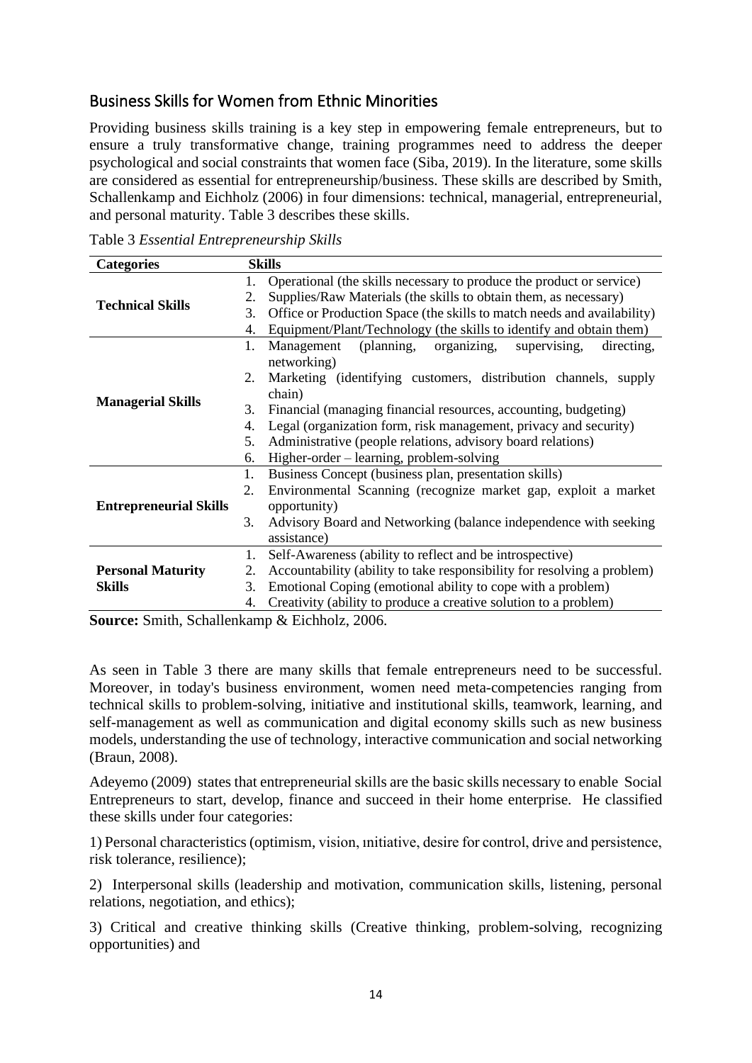# Business Skills for Women from Ethnic Minorities

Providing business skills training is a key step in empowering female entrepreneurs, but to ensure a truly transformative change, training programmes need to address the deeper psychological and social constraints that women face (Siba, 2019). In the literature, some skills are considered as essential for entrepreneurship/business. These skills are described by Smith, Schallenkamp and Eichholz (2006) in four dimensions: technical, managerial, entrepreneurial, and personal maturity. Table 3 describes these skills.

|  |  | Table 3 Essential Entrepreneurship Skills |  |  |
|--|--|-------------------------------------------|--|--|
|--|--|-------------------------------------------|--|--|

| <b>Categories</b>             | <b>Skills</b> |                                                                         |
|-------------------------------|---------------|-------------------------------------------------------------------------|
|                               |               | Operational (the skills necessary to produce the product or service)    |
|                               | 2.            | Supplies/Raw Materials (the skills to obtain them, as necessary)        |
| <b>Technical Skills</b>       |               | Office or Production Space (the skills to match needs and availability) |
|                               | 4.            | Equipment/Plant/Technology (the skills to identify and obtain them)     |
|                               | 1.            | Management (planning, organizing,<br>supervising,<br>directing,         |
|                               |               | networking)                                                             |
|                               | 2.            | Marketing (identifying customers, distribution channels, supply         |
| <b>Managerial Skills</b>      |               | chain)                                                                  |
|                               | 3.            | Financial (managing financial resources, accounting, budgeting)         |
|                               | 4.            | Legal (organization form, risk management, privacy and security)        |
|                               | 5.            | Administrative (people relations, advisory board relations)             |
|                               | 6.            | Higher-order – learning, problem-solving                                |
|                               | 1.            | Business Concept (business plan, presentation skills)                   |
|                               | 2.            | Environmental Scanning (recognize market gap, exploit a market          |
| <b>Entrepreneurial Skills</b> |               | opportunity)                                                            |
|                               | 3.            | Advisory Board and Networking (balance independence with seeking        |
|                               |               | assistance)                                                             |
|                               | 1.            | Self-Awareness (ability to reflect and be introspective)                |
| <b>Personal Maturity</b>      | 2.            | Accountability (ability to take responsibility for resolving a problem) |
| <b>Skills</b>                 | 3.            | Emotional Coping (emotional ability to cope with a problem)             |
|                               | 4.            | Creativity (ability to produce a creative solution to a problem)        |

**Source:** Smith, Schallenkamp & Eichholz, 2006.

As seen in Table 3 there are many skills that female entrepreneurs need to be successful. Moreover, in today's business environment, women need meta-competencies ranging from technical skills to problem-solving, initiative and institutional skills, teamwork, learning, and self-management as well as communication and digital economy skills such as new business models, understanding the use of technology, interactive communication and social networking (Braun, 2008).

Adeyemo (2009) states that entrepreneurial skills are the basic skills necessary to enable Social Entrepreneurs to start, develop, finance and succeed in their home enterprise. He classified these skills under four categories:

1) Personal characteristics (optimism, vision, ınitiative, desire for control, drive and persistence, risk tolerance, resilience);

2) Interpersonal skills (leadership and motivation, communication skills, listening, personal relations, negotiation, and ethics);

3) Critical and creative thinking skills (Creative thinking, problem-solving, recognizing opportunities) and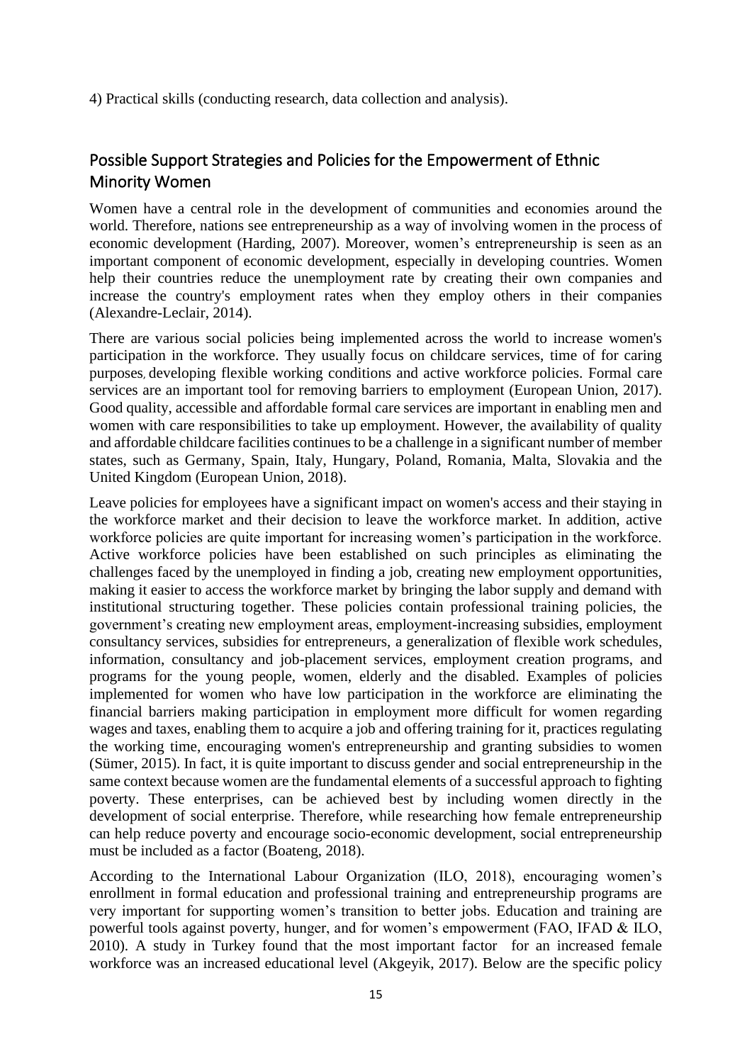4) Practical skills (conducting research, data collection and analysis).

# <span id="page-15-0"></span>Possible Support Strategies and Policies for the Empowerment of Ethnic Minority Women

Women have a central role in the development of communities and economies around the world. Therefore, nations see entrepreneurship as a way of involving women in the process of economic development (Harding, 2007). Moreover, women's entrepreneurship is seen as an important component of economic development, especially in developing countries. Women help their countries reduce the unemployment rate by creating their own companies and increase the country's employment rates when they employ others in their companies (Alexandre-Leclair, 2014).

There are various social policies being implemented across the world to increase women's participation in the workforce. They usually focus on childcare services, time of for caring purposes, developing flexible working conditions and active workforce policies. Formal care services are an important tool for removing barriers to employment (European Union, 2017). Good quality, accessible and affordable formal care services are important in enabling men and women with care responsibilities to take up employment. However, the availability of quality and affordable childcare facilities continues to be a challenge in a significant number of member states, such as Germany, Spain, Italy, Hungary, Poland, Romania, Malta, Slovakia and the United Kingdom (European Union, 2018).

Leave policies for employees have a significant impact on women's access and their staying in the workforce market and their decision to leave the workforce market. In addition, active workforce policies are quite important for increasing women's participation in the workforce. Active workforce policies have been established on such principles as eliminating the challenges faced by the unemployed in finding a job, creating new employment opportunities, making it easier to access the workforce market by bringing the labor supply and demand with institutional structuring together. These policies contain professional training policies, the government's creating new employment areas, employment-increasing subsidies, employment consultancy services, subsidies for entrepreneurs, a generalization of flexible work schedules, information, consultancy and job-placement services, employment creation programs, and programs for the young people, women, elderly and the disabled. Examples of policies implemented for women who have low participation in the workforce are eliminating the financial barriers making participation in employment more difficult for women regarding wages and taxes, enabling them to acquire a job and offering training for it, practices regulating the working time, encouraging women's entrepreneurship and granting subsidies to women (Sümer, 2015). In fact, it is quite important to discuss gender and social entrepreneurship in the same context because women are the fundamental elements of a successful approach to fighting poverty. These enterprises, can be achieved best by including women directly in the development of social enterprise. Therefore, while researching how female entrepreneurship can help reduce poverty and encourage socio-economic development, social entrepreneurship must be included as a factor (Boateng, 2018).

According to the International Labour Organization (ILO, 2018), encouraging women's enrollment in formal education and professional training and entrepreneurship programs are very important for supporting women's transition to better jobs. Education and training are powerful tools against poverty, hunger, and for women's empowerment (FAO, IFAD & ILO, 2010). A study in Turkey found that the most important factor for an increased female workforce was an increased educational level (Akgeyik, 2017). Below are the specific policy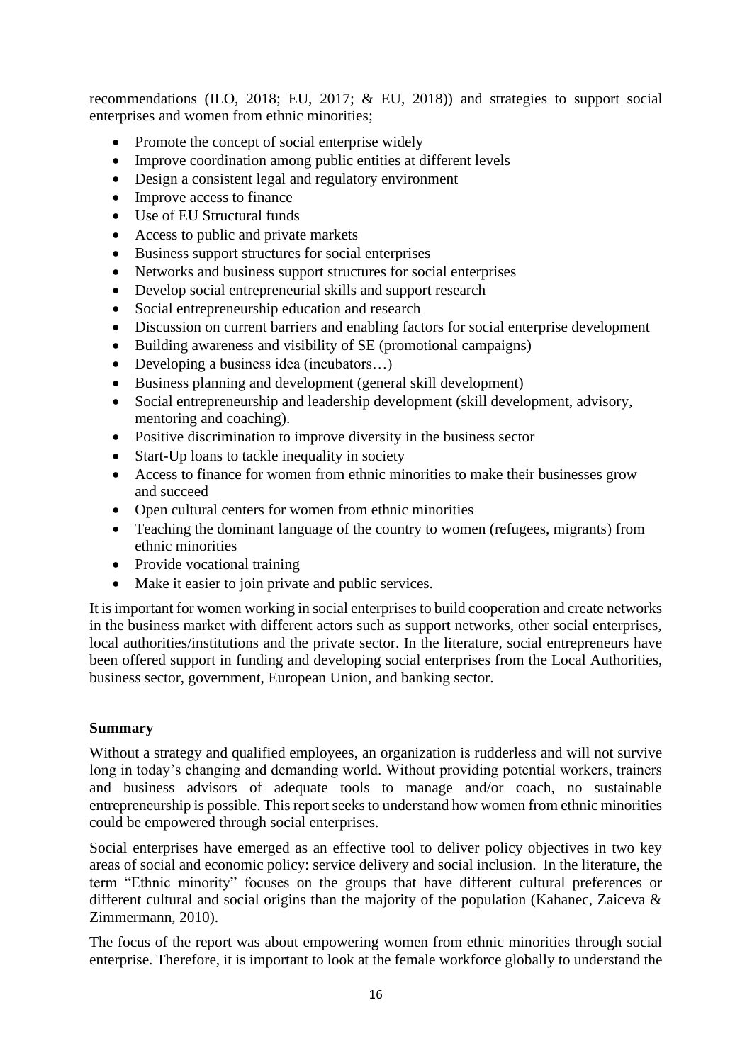recommendations (ILO, 2018; EU, 2017; & EU, 2018)) and strategies to support social enterprises and women from ethnic minorities;

- Promote the concept of social enterprise widely
- Improve coordination among public entities at different levels
- Design a consistent legal and regulatory environment
- Improve access to finance
- Use of EU Structural funds
- Access to public and private markets
- Business support structures for social enterprises
- Networks and business support structures for social enterprises
- Develop social entrepreneurial skills and support research
- Social entrepreneurship education and research
- Discussion on current barriers and enabling factors for social enterprise development
- Building awareness and visibility of SE (promotional campaigns)
- Developing a business idea (incubators…)
- Business planning and development (general skill development)
- Social entrepreneurship and leadership development (skill development, advisory, mentoring and coaching).
- Positive discrimination to improve diversity in the business sector
- Start-Up loans to tackle inequality in society
- Access to finance for women from ethnic minorities to make their businesses grow and succeed
- Open cultural centers for women from ethnic minorities
- Teaching the dominant language of the country to women (refugees, migrants) from ethnic minorities
- Provide vocational training
- Make it easier to join private and public services.

It is important for women working in social enterprises to build cooperation and create networks in the business market with different actors such as support networks, other social enterprises, local authorities/institutions and the private sector. In the literature, social entrepreneurs have been offered support in funding and developing social enterprises from the Local Authorities, business sector, government, European Union, and banking sector.

#### **Summary**

Without a strategy and qualified employees, an organization is rudderless and will not survive long in today's changing and demanding world. Without providing potential workers, trainers and business advisors of adequate tools to manage and/or coach, no sustainable entrepreneurship is possible. This report seeks to understand how women from ethnic minorities could be empowered through social enterprises.

Social enterprises have emerged as an effective tool to deliver policy objectives in two key areas of social and economic policy: service delivery and social inclusion. In the literature, the term "Ethnic minority" focuses on the groups that have different cultural preferences or different cultural and social origins than the majority of the population (Kahanec, Zaiceva & Zimmermann, 2010).

The focus of the report was about empowering women from ethnic minorities through social enterprise. Therefore, it is important to look at the female workforce globally to understand the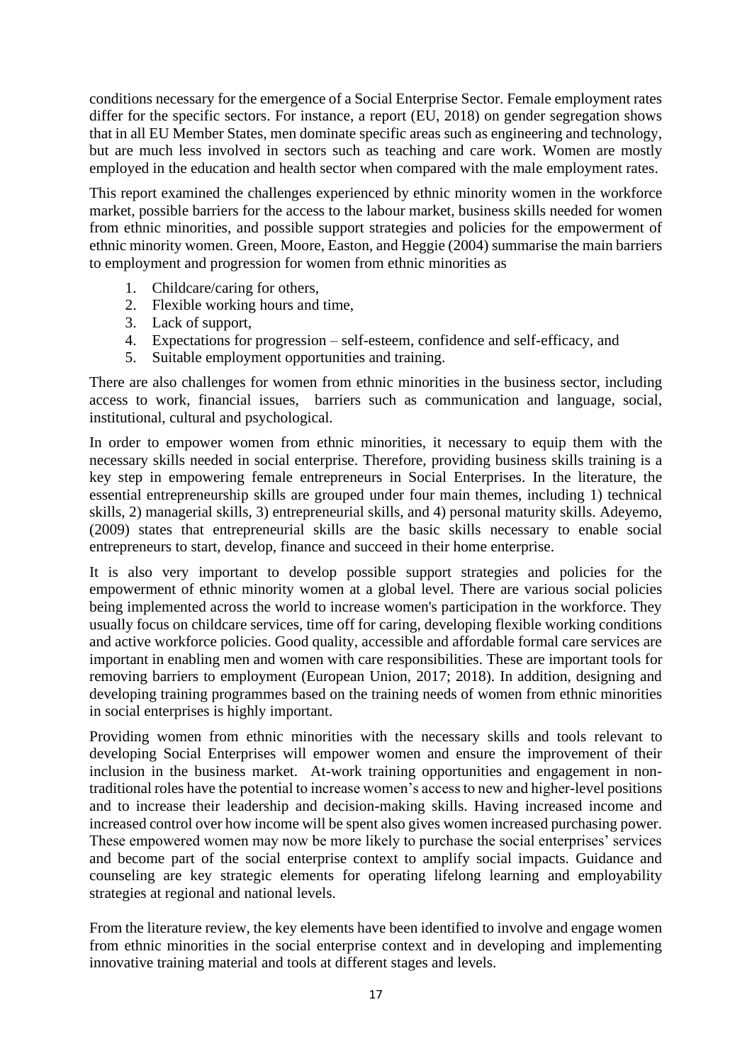conditions necessary for the emergence of a Social Enterprise Sector. Female employment rates differ for the specific sectors. For instance, a report (EU, 2018) on gender segregation shows that in all EU Member States, men dominate specific areas such as engineering and technology, but are much less involved in sectors such as teaching and care work. Women are mostly employed in the education and health sector when compared with the male employment rates.

This report examined the challenges experienced by ethnic minority women in the workforce market, possible barriers for the access to the labour market, business skills needed for women from ethnic minorities, and possible support strategies and policies for the empowerment of ethnic minority women. Green, Moore, Easton, and Heggie (2004) summarise the main barriers to employment and progression for women from ethnic minorities as

- 1. Childcare/caring for others,
- 2. Flexible working hours and time,
- 3. Lack of support,
- 4. Expectations for progression self-esteem, confidence and self-efficacy, and
- 5. Suitable employment opportunities and training.

There are also challenges for women from ethnic minorities in the business sector, including access to work, financial issues, barriers such as communication and language, social, institutional, cultural and psychological.

In order to empower women from ethnic minorities, it necessary to equip them with the necessary skills needed in social enterprise. Therefore, providing business skills training is a key step in empowering female entrepreneurs in Social Enterprises. In the literature, the essential entrepreneurship skills are grouped under four main themes, including 1) technical skills, 2) managerial skills, 3) entrepreneurial skills, and 4) personal maturity skills. Adeyemo, (2009) states that entrepreneurial skills are the basic skills necessary to enable social entrepreneurs to start, develop, finance and succeed in their home enterprise.

It is also very important to develop possible support strategies and policies for the empowerment of ethnic minority women at a global level. There are various social policies being implemented across the world to increase women's participation in the workforce. They usually focus on childcare services, time off for caring, developing flexible working conditions and active workforce policies. Good quality, accessible and affordable formal care services are important in enabling men and women with care responsibilities. These are important tools for removing barriers to employment (European Union, 2017; 2018). In addition, designing and developing training programmes based on the training needs of women from ethnic minorities in social enterprises is highly important.

Providing women from ethnic minorities with the necessary skills and tools relevant to developing Social Enterprises will empower women and ensure the improvement of their inclusion in the business market. At-work training opportunities and engagement in nontraditional roles have the potential to increase women's access to new and higher-level positions and to increase their leadership and decision-making skills. Having increased income and increased control over how income will be spent also gives women increased purchasing power. These empowered women may now be more likely to purchase the social enterprises' services and become part of the social enterprise context to amplify social impacts. Guidance and counseling are key strategic elements for operating lifelong learning and employability strategies at regional and national levels.

From the literature review, the key elements have been identified to involve and engage women from ethnic minorities in the social enterprise context and in developing and implementing innovative training material and tools at different stages and levels.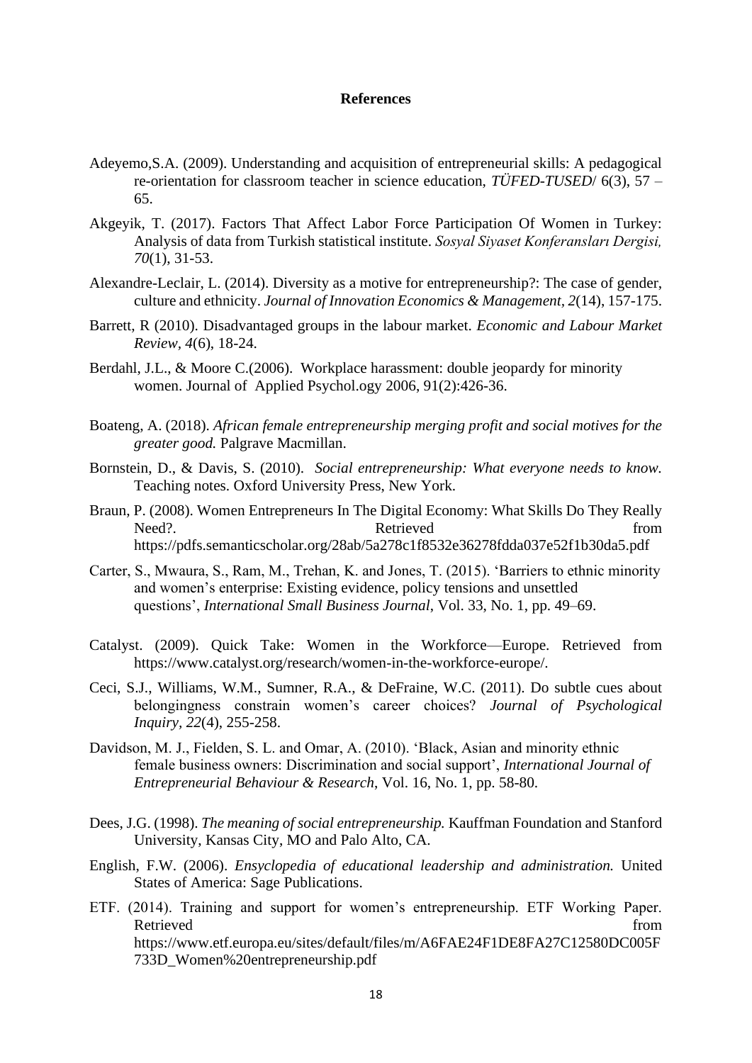#### **References**

- Adeyemo,S.A. (2009). Understanding and acquisition of entrepreneurial skills: A pedagogical re-orientation for classroom teacher in science education, *TÜFED-TUSED*/ 6(3), 57 – 65.
- Akgeyik, T. (2017). Factors That Affect Labor Force Participation Of Women in Turkey: Analysis of data from Turkish statistical institute. *Sosyal Siyaset Konferansları Dergisi, 70*(1), 31-53.
- Alexandre-Leclair, L. (2014). Diversity as a motive for entrepreneurship?: The case of gender, culture and ethnicity. *Journal of Innovation Economics & Management, 2*(14), 157-175.
- Barrett, R (2010). Disadvantaged groups in the labour market. *Economic and Labour Market Review, 4*(6), 18-24.
- Berdahl, J.L., & Moore C.(2006). Workplace harassment: double jeopardy for minority women. Journal of Applied Psychol.ogy 2006, 91(2):426-36.
- Boateng, A. (2018). *African female entrepreneurship merging profit and social motives for the greater good.* Palgrave Macmillan.
- Bornstein, D., & Davis, S. (2010). *Social entrepreneurship: What everyone needs to know.* Teaching notes. Oxford University Press, New York.
- Braun, P. (2008). Women Entrepreneurs In The Digital Economy: What Skills Do They Really Need?. Retrieved <https://pdfs.semanticscholar.org/28ab/5a278c1f8532e36278fdda037e52f1b30da5.pdf>
- Carter, S., Mwaura, S., Ram, M., Trehan, K. and Jones, T. (2015). 'Barriers to ethnic minority and women's enterprise: Existing evidence, policy tensions and unsettled questions', *International Small Business Journal*, Vol. 33, No. 1, pp. 49–69.
- Catalyst. (2009). Quick Take: Women in the Workforce—Europe. Retrieved from https://www.catalyst.org/research/women-in-the-workforce-europe/.
- Ceci, S.J., Williams, W.M., Sumner, R.A., & DeFraine, W.C. (2011). Do subtle cues about belongingness constrain women's career choices? *Journal of Psychological Inquiry, 22*(4), 255-258.
- Davidson, M. J., Fielden, S. L. and Omar, A. (2010). 'Black, Asian and minority ethnic female business owners: Discrimination and social support', *International Journal of Entrepreneurial Behaviour & Research*, Vol. 16, No. 1, pp. 58-80.
- Dees, J.G. (1998). *The meaning of social entrepreneurship.* Kauffman Foundation and Stanford University, Kansas City, MO and Palo Alto, CA.
- English, F.W. (2006). *Ensyclopedia of educational leadership and administration.* United States of America: Sage Publications.
- ETF. (2014). Training and support for women's entrepreneurship. ETF Working Paper. Retrieved from the state of the state of the state of the state of the state of the state of the state of the state of the state of the state of the state of the state of the state of the state of the state of the state of [https://www.etf.europa.eu/sites/default/files/m/A6FAE24F1DE8FA27C12580DC005F](https://www.etf.europa.eu/sites/default/files/m/A6FAE24F1DE8FA27C12580DC005F733D_Women%20entrepreneurship.pdf) [733D\\_Women%20entrepreneurship.pdf](https://www.etf.europa.eu/sites/default/files/m/A6FAE24F1DE8FA27C12580DC005F733D_Women%20entrepreneurship.pdf)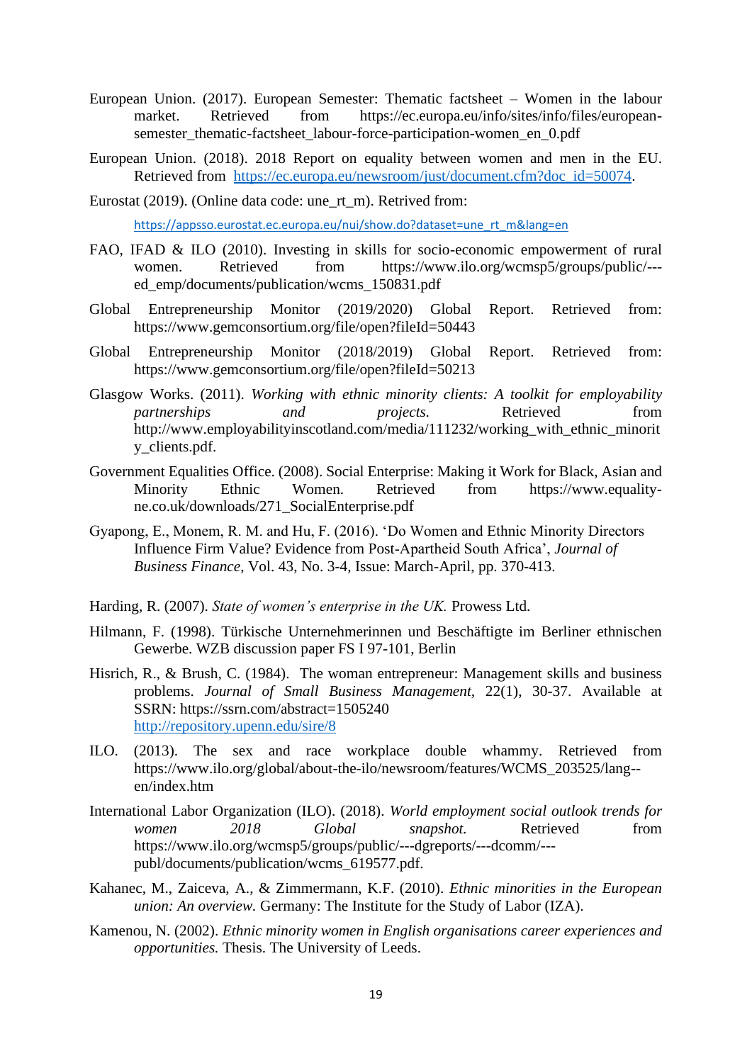- European Union. (2017). European Semester: Thematic factsheet Women in the labour market. Retrieved from https://ec.europa.eu/info/sites/info/files/europeansemester thematic-factsheet labour-force-participation-women en 0.pdf
- European Union. (2018). 2018 Report on equality between women and men in the EU. Retrieved from [https://ec.europa.eu/newsroom/just/document.cfm?doc\\_id=50074.](https://ec.europa.eu/newsroom/just/document.cfm?doc_id=50074)
- Eurostat (2019). (Online data code: une\_rt\_m). Retrived from:

[https://appsso.eurostat.ec.europa.eu/nui/show.do?dataset=une\\_rt\\_m&lang=en](https://appsso.eurostat.ec.europa.eu/nui/show.do?dataset=une_rt_m&lang=en)

- FAO, IFAD & ILO (2010). Investing in skills for socio-economic empowerment of rural women. Retrieved from [https://www.ilo.org/wcmsp5/groups/public/--](https://www.ilo.org/wcmsp5/groups/public/---ed_emp/documents/publication/wcms_150831.pdf) [ed\\_emp/documents/publication/wcms\\_150831.pdf](https://www.ilo.org/wcmsp5/groups/public/---ed_emp/documents/publication/wcms_150831.pdf)
- Global Entrepreneurship Monitor (2019/2020) Global Report. Retrieved from: https://www.gemconsortium.org/file/open?fileId=50443
- Global Entrepreneurship Monitor (2018/2019) Global Report. Retrieved from: https://www.gemconsortium.org/file/open?fileId=50213
- Glasgow Works. (2011). *Working with ethnic minority clients: A toolkit for employability partnerships and projects.* Retrieved from http://www.employabilityinscotland.com/media/111232/working\_with\_ethnic\_minorit y\_clients.pdf.
- Government Equalities Office. (2008). Social Enterprise: Making it Work for Black, Asian and Minority Ethnic Women. Retrieved from [https://www.equality](https://www.equality-ne.co.uk/downloads/271_SocialEnterprise.pdf)[ne.co.uk/downloads/271\\_SocialEnterprise.pdf](https://www.equality-ne.co.uk/downloads/271_SocialEnterprise.pdf)
- Gyapong, E., Monem, R. M. and Hu, F. (2016). 'Do Women and Ethnic Minority Directors Influence Firm Value? Evidence from Post‐Apartheid South Africa', *Journal of Business Finance*, Vol. 43, No. 3-4, Issue: March-April, pp. 370-413.
- Harding, R. (2007). *State of women's enterprise in the UK.* Prowess Ltd.
- Hilmann, F. (1998). Türkische Unternehmerinnen und Beschäftigte im Berliner ethnischen Gewerbe. WZB discussion paper FS I 97-101, Berlin
- Hisrich, R., & Brush, C. (1984). The woman entrepreneur: Management skills and business problems. *Journal of Small Business Management,* 22(1), 30-37. Available at SSRN: <https://ssrn.com/abstract=1505240> <http://repository.upenn.edu/sire/8>
- ILO. (2013). The sex and race workplace double whammy. Retrieved from [https://www.ilo.org/global/about-the-ilo/newsroom/features/WCMS\\_203525/lang-](https://www.ilo.org/global/about-the-ilo/newsroom/features/WCMS_203525/lang--en/index.htm) [en/index.htm](https://www.ilo.org/global/about-the-ilo/newsroom/features/WCMS_203525/lang--en/index.htm)
- International Labor Organization (ILO). (2018). *World employment social outlook trends for women 2018 Global snapshot.* Retrieved from https://www.ilo.org/wcmsp5/groups/public/---dgreports/---dcomm/-- publ/documents/publication/wcms\_619577.pdf.
- Kahanec, M., Zaiceva, A., & Zimmermann, K.F. (2010). *Ethnic minorities in the European union: An overview.* Germany: The Institute for the Study of Labor (IZA).
- Kamenou, N. (2002). *Ethnic minority women in English organisations career experiences and opportunities.* Thesis. The University of Leeds.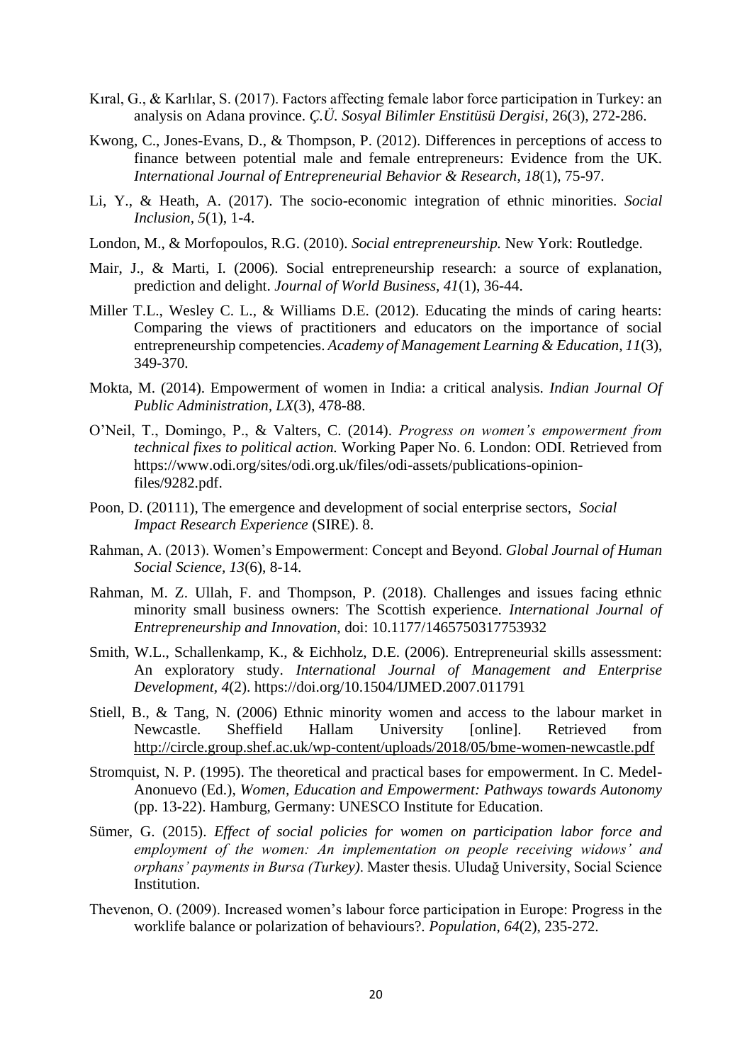- Kıral, G., & Karlılar, S. (2017). Factors affecting female labor force participation in Turkey: an analysis on Adana province. *Ç.Ü. Sosyal Bilimler Enstitüsü Dergisi*, 26(3), 272-286.
- Kwong, C., Jones-Evans, D., & Thompson, P. (2012). Differences in perceptions of access to finance between potential male and female entrepreneurs: Evidence from the UK. *International Journal of Entrepreneurial Behavior & Research*, *18*(1), 75-97.
- Li, Y., & Heath, A. (2017). The socio-economic integration of ethnic minorities. *Social Inclusion, 5*(1), 1-4.
- London, M., & Morfopoulos, R.G. (2010). *Social entrepreneurship.* New York: Routledge.
- Mair, J., & Marti, I. (2006). Social entrepreneurship research: a source of explanation, prediction and delight. *Journal of World Business, 41*(1), 36-44.
- Miller T.L., Wesley C. L., & Williams D.E. (2012). Educating the minds of caring hearts: Comparing the views of practitioners and educators on the importance of social entrepreneurship competencies. *Academy of Management Learning & Education, 11*(3), 349-370.
- Mokta, M. (2014). Empowerment of women in India: a critical analysis. *Indian Journal Of Public Administration, LX*(3), 478-88.
- O'Neil, T., Domingo, P., & Valters, C. (2014). *Progress on women's empowerment from technical fixes to political action.* Working Paper No. 6. London: ODI. Retrieved from https://www.odi.org/sites/odi.org.uk/files/odi-assets/publications-opinionfiles/9282.pdf.
- Poon, D. (20111), The emergence and development of social enterprise sectors, *Social Impact Research Experience* (SIRE). 8.
- Rahman, A. (2013). Women's Empowerment: Concept and Beyond. *Global Journal of Human Social Science, 13*(6), 8-14.
- Rahman, M. Z. Ullah, F. and Thompson, P. (2018). Challenges and issues facing ethnic minority small business owners: The Scottish experience. *International Journal of Entrepreneurship and Innovation,* doi: 10.1177/1465750317753932
- Smith, W.L., Schallenkamp, K., & Eichholz, D.E. (2006). Entrepreneurial skills assessment: An exploratory study. *International Journal of Management and Enterprise Development, 4*(2). https://doi.org/10.1504/IJMED.2007.011791
- Stiell, B., & Tang, N. (2006) Ethnic minority women and access to the labour market in Newcastle. Sheffield Hallam University [online]. Retrieved from <http://circle.group.shef.ac.uk/wp-content/uploads/2018/05/bme-women-newcastle.pdf>
- Stromquist, N. P. (1995). The theoretical and practical bases for empowerment. In C. Medel-Anonuevo (Ed.), *Women, Education and Empowerment: Pathways towards Autonomy* (pp. 13-22). Hamburg, Germany: UNESCO Institute for Education.
- Sümer, G. (2015). *Effect of social policies for women on participation labor force and employment of the women: An implementation on people receiving widows' and orphans' payments in Bursa (Turkey)*. Master thesis. Uludağ University, Social Science Institution.
- Thevenon, O. (2009). Increased women's labour force participation in Europe: Progress in the worklife balance or polarization of behaviours?. *Population, 64*(2), 235-272.